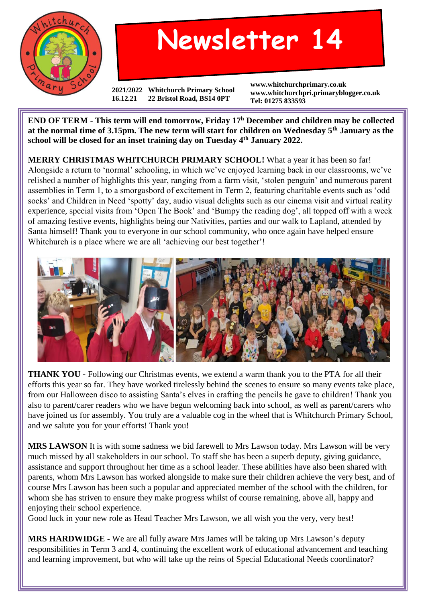

## **Newsletter 14**

**2021/2022 Whitchurch Primary School 16.12.21 22 Bristol Road, BS14 0PT**

**www.whitchurchprimary.co.uk www.whitchurchpri.primaryblogger.co.uk Tel: 01275 833593**

**END OF TERM - This term will end tomorrow, Friday 17<sup>h</sup> December and children may be collected at the normal time of 3.15pm. The new term will start for children on Wednesday 5th January as the school will be closed for an inset training day on Tuesday 4th January 2022.**

**MERRY CHRISTMAS WHITCHURCH PRIMARY SCHOOL!** What a year it has been so far! Alongside a return to 'normal' schooling, in which we've enjoyed learning back in our classrooms, we've relished a number of highlights this year, ranging from a farm visit, 'stolen penguin' and numerous parent assemblies in Term 1, to a smorgasbord of excitement in Term 2, featuring charitable events such as 'odd socks' and Children in Need 'spotty' day, audio visual delights such as our cinema visit and virtual reality experience, special visits from 'Open The Book' and 'Bumpy the reading dog', all topped off with a week of amazing festive events, highlights being our Nativities, parties and our walk to Lapland, attended by Santa himself! Thank you to everyone in our school community, who once again have helped ensure Whitchurch is a place where we are all 'achieving our best together'!



**THANK YOU -** Following our Christmas events, we extend a warm thank you to the PTA for all their efforts this year so far. They have worked tirelessly behind the scenes to ensure so many events take place, from our Halloween disco to assisting Santa's elves in crafting the pencils he gave to children! Thank you also to parent/carer readers who we have begun welcoming back into school, as well as parent/carers who have joined us for assembly. You truly are a valuable cog in the wheel that is Whitchurch Primary School, and we salute you for your efforts! Thank you!

**MRS LAWSON** It is with some sadness we bid farewell to Mrs Lawson today. Mrs Lawson will be very much missed by all stakeholders in our school. To staff she has been a superb deputy, giving guidance, assistance and support throughout her time as a school leader. These abilities have also been shared with parents, whom Mrs Lawson has worked alongside to make sure their children achieve the very best, and of course Mrs Lawson has been such a popular and appreciated member of the school with the children, for whom she has striven to ensure they make progress whilst of course remaining, above all, happy and enjoying their school experience.

Good luck in your new role as Head Teacher Mrs Lawson, we all wish you the very, very best!

**MRS HARDWIDGE -** We are all fully aware Mrs James will be taking up Mrs Lawson's deputy responsibilities in Term 3 and 4, continuing the excellent work of educational advancement and teaching and learning improvement, but who will take up the reins of Special Educational Needs coordinator?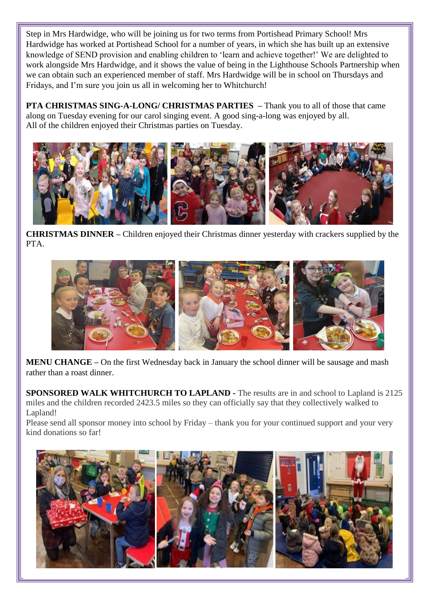Step in Mrs Hardwidge, who will be joining us for two terms from Portishead Primary School! Mrs Hardwidge has worked at Portishead School for a number of years, in which she has built up an extensive knowledge of SEND provision and enabling children to 'learn and achieve together!' We are delighted to work alongside Mrs Hardwidge, and it shows the value of being in the Lighthouse Schools Partnership when we can obtain such an experienced member of staff. Mrs Hardwidge will be in school on Thursdays and Fridays, and I'm sure you join us all in welcoming her to Whitchurch!

**PTA CHRISTMAS SING-A-LONG/ CHRISTMAS PARTIES –** Thank you to all of those that came along on Tuesday evening for our carol singing event. A good sing-a-long was enjoyed by all. All of the children enjoyed their Christmas parties on Tuesday.



**CHRISTMAS DINNER –** Children enjoyed their Christmas dinner yesterday with crackers supplied by the PTA.



**MENU CHANGE –** On the first Wednesday back in January the school dinner will be sausage and mash rather than a roast dinner.

**SPONSORED WALK WHITCHURCH TO LAPLAND -** The results are in and school to Lapland is 2125 miles and the children recorded 2423.5 miles so they can officially say that they collectively walked to Lapland!

Please send all sponsor money into school by Friday – thank you for your continued support and your very kind donations so far!